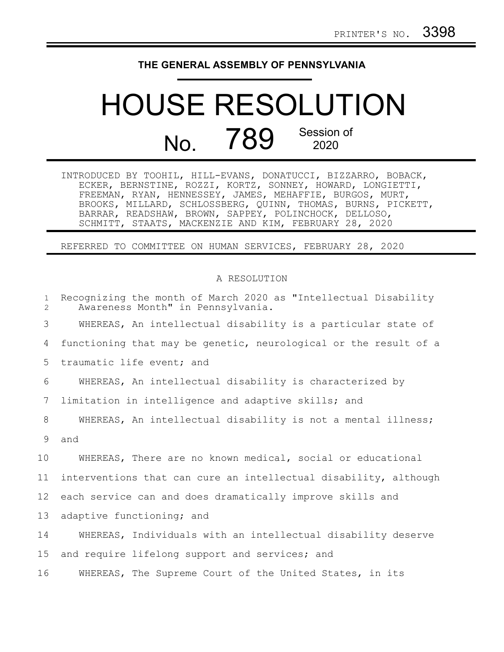## **THE GENERAL ASSEMBLY OF PENNSYLVANIA**

## HOUSE RESOLUTION No. 789 Session of

| INTRODUCED BY TOOHIL, HILL-EVANS, DONATUCCI, BIZZARRO, BOBACK, |  |
|----------------------------------------------------------------|--|
| ECKER, BERNSTINE, ROZZI, KORTZ, SONNEY, HOWARD, LONGIETTI,     |  |
| FREEMAN, RYAN, HENNESSEY, JAMES, MEHAFFIE, BURGOS, MURT,       |  |
| BROOKS, MILLARD, SCHLOSSBERG, QUINN, THOMAS, BURNS, PICKETT,   |  |
| BARRAR, READSHAW, BROWN, SAPPEY, POLINCHOCK, DELLOSO,          |  |
| SCHMITT, STAATS, MACKENZIE AND KIM, FEBRUARY 28, 2020          |  |

REFERRED TO COMMITTEE ON HUMAN SERVICES, FEBRUARY 28, 2020

## A RESOLUTION

| $\mathbf{1}$<br>2 | Recognizing the month of March 2020 as "Intellectual Disability<br>Awareness Month" in Pennsylvania. |
|-------------------|------------------------------------------------------------------------------------------------------|
| 3                 | WHEREAS, An intellectual disability is a particular state of                                         |
| 4                 | functioning that may be genetic, neurological or the result of a                                     |
| 5                 | traumatic life event; and                                                                            |
| 6                 | WHEREAS, An intellectual disability is characterized by                                              |
| 7                 | limitation in intelligence and adaptive skills; and                                                  |
| 8                 | WHEREAS, An intellectual disability is not a mental illness;                                         |
| 9                 | and                                                                                                  |
| 10                | WHEREAS, There are no known medical, social or educational                                           |
| 11                | interventions that can cure an intellectual disability, although                                     |
| 12                | each service can and does dramatically improve skills and                                            |
| 13                | adaptive functioning; and                                                                            |
| 14                | WHEREAS, Individuals with an intellectual disability deserve                                         |
| 15                | and require lifelong support and services; and                                                       |
| 16                | WHEREAS, The Supreme Court of the United States, in its                                              |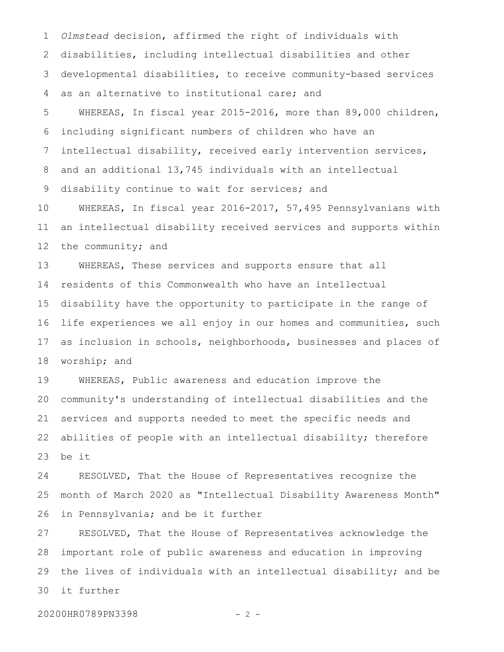*Olmstead* decision, affirmed the right of individuals with disabilities, including intellectual disabilities and other developmental disabilities, to receive community-based services as an alternative to institutional care; and 1 2 3 4

WHEREAS, In fiscal year 2015-2016, more than 89,000 children, including significant numbers of children who have an intellectual disability, received early intervention services, and an additional 13,745 individuals with an intellectual disability continue to wait for services; and 5 6 7 8 9

WHEREAS, In fiscal year 2016-2017, 57,495 Pennsylvanians with an intellectual disability received services and supports within the community; and 10 11 12

WHEREAS, These services and supports ensure that all residents of this Commonwealth who have an intellectual disability have the opportunity to participate in the range of life experiences we all enjoy in our homes and communities, such as inclusion in schools, neighborhoods, businesses and places of worship; and 13 14 15 16 17 18

WHEREAS, Public awareness and education improve the community's understanding of intellectual disabilities and the services and supports needed to meet the specific needs and abilities of people with an intellectual disability; therefore be it 19 20 21 22 23

RESOLVED, That the House of Representatives recognize the month of March 2020 as "Intellectual Disability Awareness Month" in Pennsylvania; and be it further 24 25 26

RESOLVED, That the House of Representatives acknowledge the important role of public awareness and education in improving the lives of individuals with an intellectual disability; and be it further 27 28 29 30

20200HR0789PN3398 - 2 -